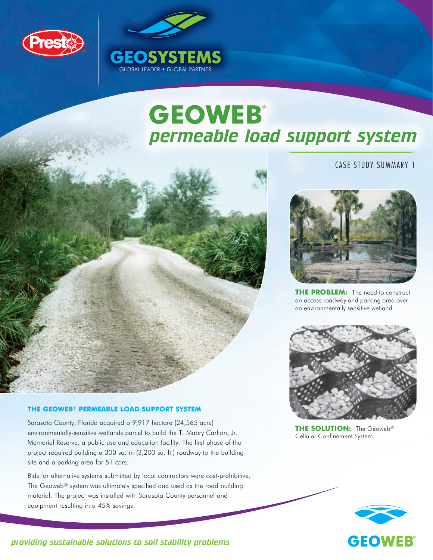







**THE PROBLEM:** The need to construct an access roadway and parking area over an environmentally sensitive wetland.



**THE SOLUTION:** The Geoweb® Cellular Confinement System.



# **the Geoweb® PERMEABLE LOAD SUPPORT SYSTEM**

Sarasota County, Florida acquired a 9,917 hectare (24,565 acre) environmentally-sensitive wetlands parcel to build the T. Mabry Carlton, Jr. Memorial Reserve, a public use and education facility. The first phase of the project required building a 300 sq. m (3,200 sq. ft.) roadway to the building site and a parking area for 51 cars.

GLOBAL LEADER • GLOBAL PARTNER

**GEOSYSTEMS** 

Bids for alternative systems submitted by local contractors were cost-prohibitive. The Geoweb® system was ultimately specified and used as the road building material. The project was installed with Sarasota County personnel and equipment resulting in a 45% savings.

### *providing sustainable solutions to soil stability problems*